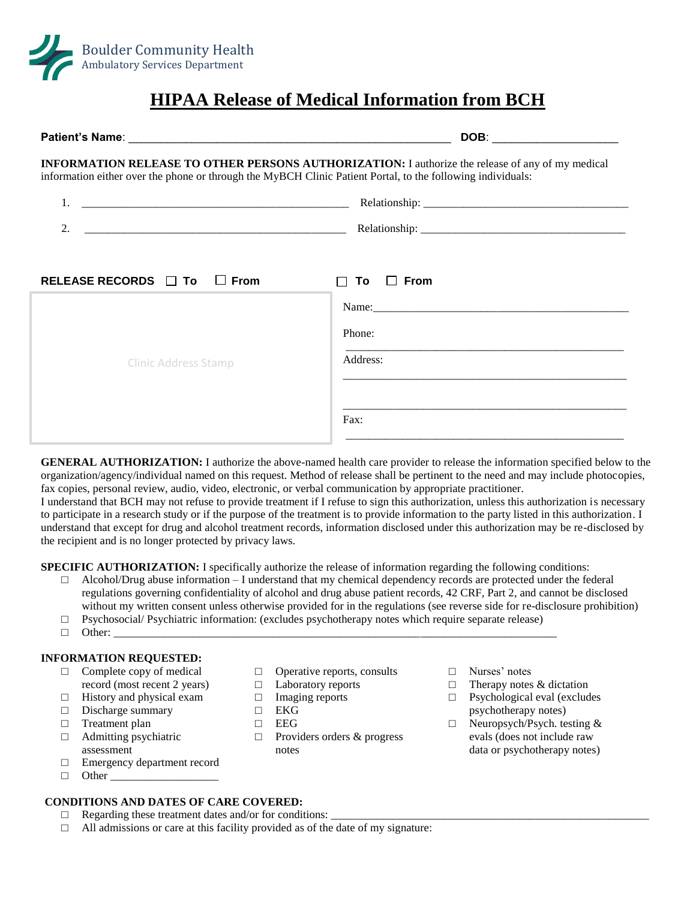

# **HIPAA Release of Medical Information from BCH**

|                                                                                                                                                                                                                        | DOB: ________________________                                                                                                                                     |
|------------------------------------------------------------------------------------------------------------------------------------------------------------------------------------------------------------------------|-------------------------------------------------------------------------------------------------------------------------------------------------------------------|
| <b>INFORMATION RELEASE TO OTHER PERSONS AUTHORIZATION:</b> I authorize the release of any of my medical<br>information either over the phone or through the MyBCH Clinic Patient Portal, to the following individuals: |                                                                                                                                                                   |
| <u> 2000 - Andrea Andrewski, amerikansk politik (d. 1982)</u>                                                                                                                                                          |                                                                                                                                                                   |
| 2.                                                                                                                                                                                                                     |                                                                                                                                                                   |
| RELEASE RECORDS $\Box$ To $\Box$ From<br><b>Clinic Address Stamp</b>                                                                                                                                                   | $To \square$ From<br>Name: 2008. [2016] Name: 2008. [2016] Name: 2008. [2016] Name: 2008. [2016] Name: 2008. [2016] Name: 2008. [20<br>Phone:<br>Address:<br>Fax: |

**GENERAL AUTHORIZATION:** I authorize the above-named health care provider to release the information specified below to the organization/agency/individual named on this request. Method of release shall be pertinent to the need and may include photocopies, fax copies, personal review, audio, video, electronic, or verbal communication by appropriate practitioner.

I understand that BCH may not refuse to provide treatment if I refuse to sign this authorization, unless this authorization is necessary to participate in a research study or if the purpose of the treatment is to provide information to the party listed in this authorization. I understand that except for drug and alcohol treatment records, information disclosed under this authorization may be re-disclosed by the recipient and is no longer protected by privacy laws.

**SPECIFIC AUTHORIZATION:** I specifically authorize the release of information regarding the following conditions:

- $\Box$  Alcohol/Drug abuse information  $-I$  understand that my chemical dependency records are protected under the federal regulations governing confidentiality of alcohol and drug abuse patient records, 42 CRF, Part 2, and cannot be disclosed without my written consent unless otherwise provided for in the regulations (see reverse side for re-disclosure prohibition)
- $\Box$  Psychosocial/ Psychiatric information: (excludes psychotherapy notes which require separate release)
- □ Other: \_\_\_\_\_\_\_\_\_\_\_\_\_\_\_\_\_\_\_\_\_\_\_\_\_\_\_\_\_\_\_\_\_\_\_\_\_\_\_\_\_\_\_\_\_\_\_\_\_\_\_\_\_\_\_\_\_\_\_\_\_\_\_\_\_\_\_\_\_\_\_\_\_\_\_\_\_\_

# **INFORMATION REQUESTED:**

- $\Box$  Complete copy of medical record (most recent 2 years)
- $\Box$  History and physical exam
- □ Discharge summary
- □ Treatment plan
- □ Admitting psychiatric assessment
- □ Emergency department record
- $\Box$  Other

# **CONDITIONS AND DATES OF CARE COVERED:**

- $\Box$  Regarding these treatment dates and/or for conditions:
- □ All admissions or care at this facility provided as of the date of my signature:
- $\Box$  Operative reports, consults
- □ Laboratory reports
- □ Imaging reports
- □ EKG
- $\Box$  EEG
- □ Providers orders & progress notes
- □ Nurses' notes
- $\Box$  Therapy notes & dictation
- $\Box$  Psychological eval (excludes psychotherapy notes)
- $\Box$  Neuropsych/Psych. testing & evals (does not include raw data or psychotherapy notes)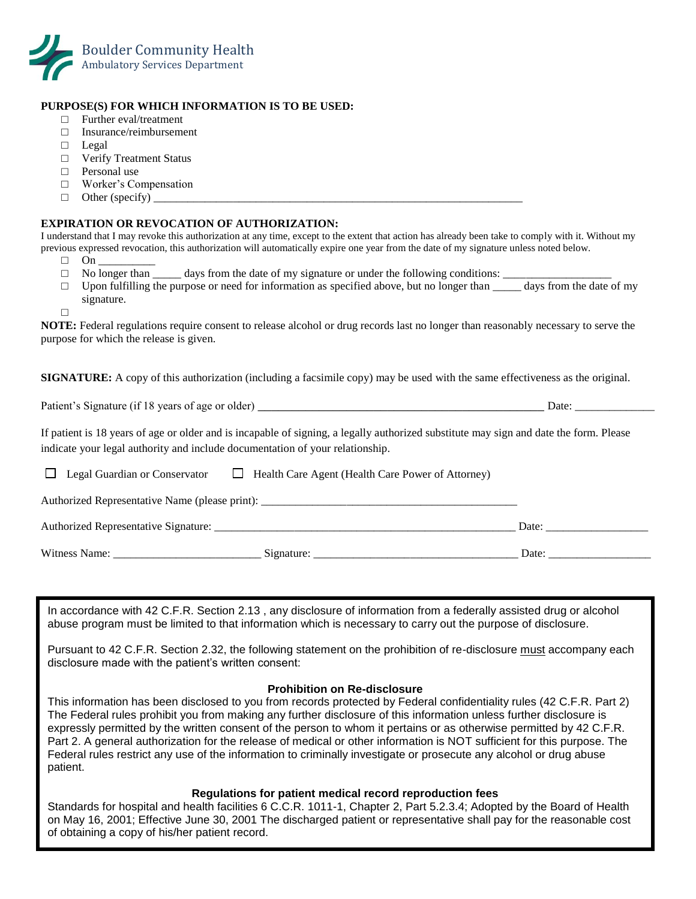

## **PURPOSE(S) FOR WHICH INFORMATION IS TO BE USED:**

- □ Further eval/treatment
- □ Insurance/reimbursement
- □ Legal
- □ Verify Treatment Status
- $\Box$  Personal use
- □ Worker's Compensation
- $\Box$  Other (specify)

## **EXPIRATION OR REVOCATION OF AUTHORIZATION:**

I understand that I may revoke this authorization at any time, except to the extent that action has already been take to comply with it. Without my previous expressed revocation, this authorization will automatically expire one year from the date of my signature unless noted below.

- $\Box$  On
- $\Box$  No longer than days from the date of my signature or under the following conditions:
- $\Box$  Upon fulfilling the purpose or need for information as specified above, but no longer than  $\Box$  days from the date of my signature.

□

.

**NOTE:** Federal regulations require consent to release alcohol or drug records last no longer than reasonably necessary to serve the purpose for which the release is given.

**SIGNATURE:** A copy of this authorization (including a facsimile copy) may be used with the same effectiveness as the original.

Patient's Signature (if 18 years of age or older) \_\_\_\_\_\_\_\_\_\_\_\_\_\_\_\_\_\_\_\_\_\_\_\_\_\_\_\_\_\_\_\_\_\_\_\_\_\_\_\_\_\_ Date: \_\_\_\_\_\_\_\_\_\_\_\_\_\_

If patient is 18 years of age or older and is incapable of signing, a legally authorized substitute may sign and date the form. Please indicate your legal authority and include documentation of your relationship.

 $\Box$  Legal Guardian or Conservator  $\Box$  Health Care Agent (Health Care Power of Attorney) Authorized Representative Name (please print): \_\_\_\_\_\_\_\_\_\_\_\_\_\_\_\_\_\_\_\_\_\_\_\_\_\_\_\_\_\_\_\_\_ Authorized Representative Signature:  $\Box$ Witness Name: \_\_\_\_\_\_\_\_\_\_\_\_\_\_\_\_\_\_\_\_\_\_\_\_\_\_ Signature: \_\_\_\_\_\_\_\_\_\_\_\_\_\_\_\_\_\_\_\_\_\_\_\_\_\_\_\_\_\_\_\_\_\_\_\_ Date: \_\_\_\_\_\_\_\_\_\_\_\_\_\_\_\_\_\_

In accordance with 42 C.F.R. Section 2.13 , any disclosure of information from a federally assisted drug or alcohol abuse program must be limited to that information which is necessary to carry out the purpose of disclosure.

Pursuant to 42 C.F.R. Section 2.32, the following statement on the prohibition of re-disclosure must accompany each disclosure made with the patient's written consent:

### **Prohibition on Re-disclosure**

This information has been disclosed to you from records protected by Federal confidentiality rules (42 C.F.R. Part 2) The Federal rules prohibit you from making any further disclosure of this information unless further disclosure is expressly permitted by the written consent of the person to whom it pertains or as otherwise permitted by 42 C.F.R. Part 2. A general authorization for the release of medical or other information is NOT sufficient for this purpose. The Federal rules restrict any use of the information to criminally investigate or prosecute any alcohol or drug abuse patient.

### **Regulations for patient medical record reproduction fees**

Standards for hospital and health facilities 6 C.C.R. 1011-1, Chapter 2, Part 5.2.3.4; Adopted by the Board of Health on May 16, 2001; Effective June 30, 2001 The discharged patient or representative shall pay for the reasonable cost of obtaining a copy of his/her patient record.